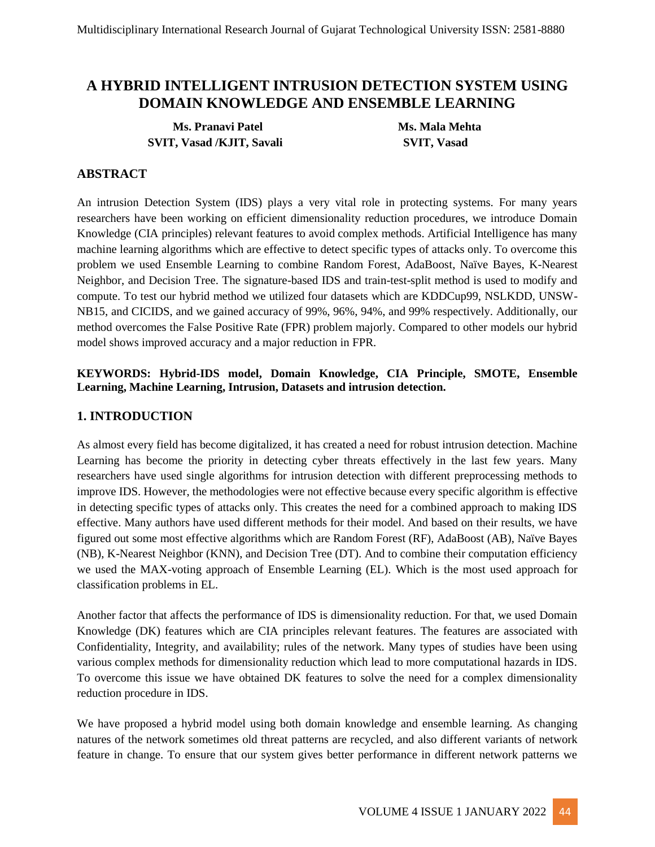# **A HYBRID INTELLIGENT INTRUSION DETECTION SYSTEM USING DOMAIN KNOWLEDGE AND ENSEMBLE LEARNING**

**Ms. Pranavi Patel Ms. Mala Mehta SVIT, Vasad /KJIT, Savali SVIT, Vasad** 

### **ABSTRACT**

An intrusion Detection System (IDS) plays a very vital role in protecting systems. For many years researchers have been working on efficient dimensionality reduction procedures, we introduce Domain Knowledge (CIA principles) relevant features to avoid complex methods. Artificial Intelligence has many machine learning algorithms which are effective to detect specific types of attacks only. To overcome this problem we used Ensemble Learning to combine Random Forest, AdaBoost, Naïve Bayes, K-Nearest Neighbor, and Decision Tree. The signature-based IDS and train-test-split method is used to modify and compute. To test our hybrid method we utilized four datasets which are KDDCup99, NSLKDD, UNSW-NB15, and CICIDS, and we gained accuracy of 99%, 96%, 94%, and 99% respectively. Additionally, our method overcomes the False Positive Rate (FPR) problem majorly. Compared to other models our hybrid model shows improved accuracy and a major reduction in FPR.

### **KEYWORDS: Hybrid-IDS model, Domain Knowledge, CIA Principle, SMOTE, Ensemble Learning, Machine Learning, Intrusion, Datasets and intrusion detection.**

### **1. INTRODUCTION**

As almost every field has become digitalized, it has created a need for robust intrusion detection. Machine Learning has become the priority in detecting cyber threats effectively in the last few years. Many researchers have used single algorithms for intrusion detection with different preprocessing methods to improve IDS. However, the methodologies were not effective because every specific algorithm is effective in detecting specific types of attacks only. This creates the need for a combined approach to making IDS effective. Many authors have used different methods for their model. And based on their results, we have figured out some most effective algorithms which are Random Forest (RF), AdaBoost (AB), Naïve Bayes (NB), K-Nearest Neighbor (KNN), and Decision Tree (DT). And to combine their computation efficiency we used the MAX-voting approach of Ensemble Learning (EL). Which is the most used approach for classification problems in EL.

Another factor that affects the performance of IDS is dimensionality reduction. For that, we used Domain Knowledge (DK) features which are CIA principles relevant features. The features are associated with Confidentiality, Integrity, and availability; rules of the network. Many types of studies have been using various complex methods for dimensionality reduction which lead to more computational hazards in IDS. To overcome this issue we have obtained DK features to solve the need for a complex dimensionality reduction procedure in IDS.

We have proposed a hybrid model using both domain knowledge and ensemble learning. As changing natures of the network sometimes old threat patterns are recycled, and also different variants of network feature in change. To ensure that our system gives better performance in different network patterns we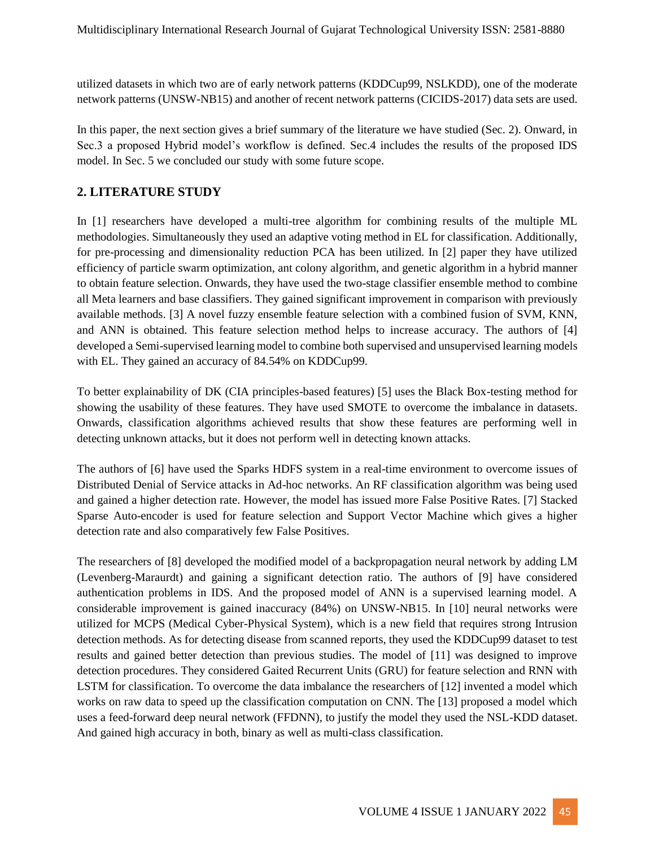utilized datasets in which two are of early network patterns (KDDCup99, NSLKDD), one of the moderate network patterns (UNSW-NB15) and another of recent network patterns (CICIDS-2017) data sets are used.

In this paper, the next section gives a brief summary of the literature we have studied (Sec. 2). Onward, in Sec.3 a proposed Hybrid model's workflow is defined. Sec.4 includes the results of the proposed IDS model. In Sec. 5 we concluded our study with some future scope.

## **2. LITERATURE STUDY**

In [1] researchers have developed a multi-tree algorithm for combining results of the multiple ML methodologies. Simultaneously they used an adaptive voting method in EL for classification. Additionally, for pre-processing and dimensionality reduction PCA has been utilized. In [2] paper they have utilized efficiency of particle swarm optimization, ant colony algorithm, and genetic algorithm in a hybrid manner to obtain feature selection. Onwards, they have used the two-stage classifier ensemble method to combine all Meta learners and base classifiers. They gained significant improvement in comparison with previously available methods. [3] A novel fuzzy ensemble feature selection with a combined fusion of SVM, KNN, and ANN is obtained. This feature selection method helps to increase accuracy. The authors of [4] developed a Semi-supervised learning model to combine both supervised and unsupervised learning models with EL. They gained an accuracy of 84.54% on KDDCup99.

To better explainability of DK (CIA principles-based features) [5] uses the Black Box-testing method for showing the usability of these features. They have used SMOTE to overcome the imbalance in datasets. Onwards, classification algorithms achieved results that show these features are performing well in detecting unknown attacks, but it does not perform well in detecting known attacks.

The authors of [6] have used the Sparks HDFS system in a real-time environment to overcome issues of Distributed Denial of Service attacks in Ad-hoc networks. An RF classification algorithm was being used and gained a higher detection rate. However, the model has issued more False Positive Rates. [7] Stacked Sparse Auto-encoder is used for feature selection and Support Vector Machine which gives a higher detection rate and also comparatively few False Positives.

The researchers of [8] developed the modified model of a backpropagation neural network by adding LM (Levenberg-Maraurdt) and gaining a significant detection ratio. The authors of [9] have considered authentication problems in IDS. And the proposed model of ANN is a supervised learning model. A considerable improvement is gained inaccuracy (84%) on UNSW-NB15. In [10] neural networks were utilized for MCPS (Medical Cyber-Physical System), which is a new field that requires strong Intrusion detection methods. As for detecting disease from scanned reports, they used the KDDCup99 dataset to test results and gained better detection than previous studies. The model of [11] was designed to improve detection procedures. They considered Gaited Recurrent Units (GRU) for feature selection and RNN with LSTM for classification. To overcome the data imbalance the researchers of [12] invented a model which works on raw data to speed up the classification computation on CNN. The [13] proposed a model which uses a feed-forward deep neural network (FFDNN), to justify the model they used the NSL-KDD dataset. And gained high accuracy in both, binary as well as multi-class classification.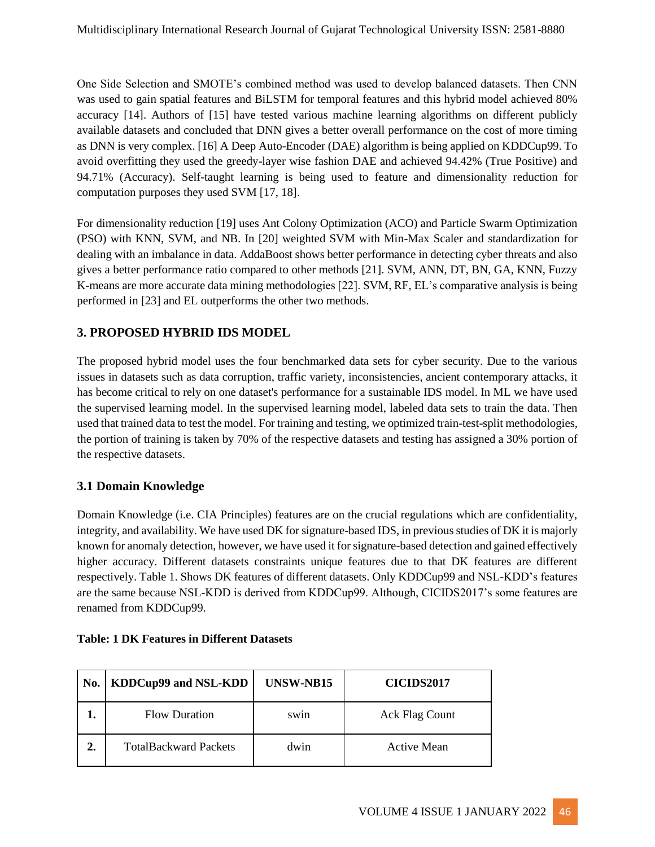One Side Selection and SMOTE's combined method was used to develop balanced datasets. Then CNN was used to gain spatial features and BiLSTM for temporal features and this hybrid model achieved 80% accuracy [14]. Authors of [15] have tested various machine learning algorithms on different publicly available datasets and concluded that DNN gives a better overall performance on the cost of more timing as DNN is very complex. [16] A Deep Auto-Encoder (DAE) algorithm is being applied on KDDCup99. To avoid overfitting they used the greedy-layer wise fashion DAE and achieved 94.42% (True Positive) and 94.71% (Accuracy). Self-taught learning is being used to feature and dimensionality reduction for computation purposes they used SVM [17, 18].

For dimensionality reduction [19] uses Ant Colony Optimization (ACO) and Particle Swarm Optimization (PSO) with KNN, SVM, and NB. In [20] weighted SVM with Min-Max Scaler and standardization for dealing with an imbalance in data. AddaBoost shows better performance in detecting cyber threats and also gives a better performance ratio compared to other methods [21]. SVM, ANN, DT, BN, GA, KNN, Fuzzy K-means are more accurate data mining methodologies [22]. SVM, RF, EL's comparative analysis is being performed in [23] and EL outperforms the other two methods.

# **3. PROPOSED HYBRID IDS MODEL**

The proposed hybrid model uses the four benchmarked data sets for cyber security. Due to the various issues in datasets such as data corruption, traffic variety, inconsistencies, ancient contemporary attacks, it has become critical to rely on one dataset's performance for a sustainable IDS model. In ML we have used the supervised learning model. In the supervised learning model, labeled data sets to train the data. Then used that trained data to test the model. For training and testing, we optimized train-test-split methodologies, the portion of training is taken by 70% of the respective datasets and testing has assigned a 30% portion of the respective datasets.

# **3.1 Domain Knowledge**

Domain Knowledge (i.e. CIA Principles) features are on the crucial regulations which are confidentiality, integrity, and availability. We have used DK for signature-based IDS, in previous studies of DK it is majorly known for anomaly detection, however, we have used it for signature-based detection and gained effectively higher accuracy. Different datasets constraints unique features due to that DK features are different respectively. Table 1. Shows DK features of different datasets. Only KDDCup99 and NSL-KDD's features are the same because NSL-KDD is derived from KDDCup99. Although, CICIDS2017's some features are renamed from KDDCup99.

| No. | <b>KDDCup99 and NSL-KDD</b>  | <b>UNSW-NB15</b>  | CICIDS2017     |
|-----|------------------------------|-------------------|----------------|
|     | <b>Flow Duration</b>         | sw <sub>1</sub> n | Ack Flag Count |
| 2.  | <b>TotalBackward Packets</b> | dwin              | Active Mean    |

### **Table: 1 DK Features in Different Datasets**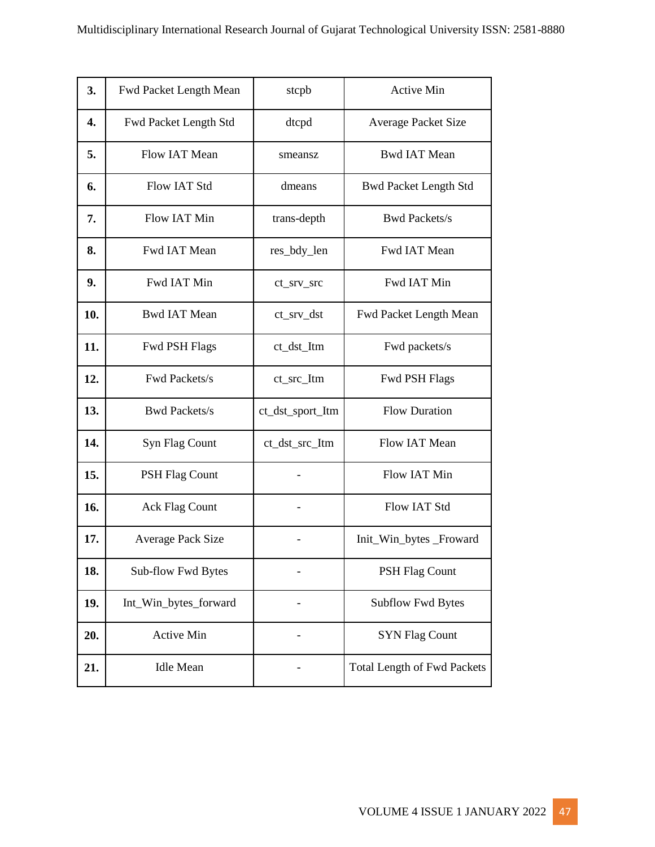| 3.  | Fwd Packet Length Mean       | stcpb                    | <b>Active Min</b>                  |
|-----|------------------------------|--------------------------|------------------------------------|
| 4.  | <b>Fwd Packet Length Std</b> | dtcpd                    | <b>Average Packet Size</b>         |
| 5.  | Flow IAT Mean                | smeansz                  | <b>Bwd IAT Mean</b>                |
| 6.  | Flow IAT Std                 | dmeans                   | <b>Bwd Packet Length Std</b>       |
| 7.  | <b>Flow IAT Min</b>          | trans-depth              | <b>Bwd Packets/s</b>               |
| 8.  | Fwd IAT Mean                 | res_bdy_len              | Fwd IAT Mean                       |
| 9.  | Fwd IAT Min                  | ct_srv_src               | Fwd IAT Min                        |
| 10. | <b>Bwd IAT Mean</b>          | $ct$ <sub>_Srv_dst</sub> | Fwd Packet Length Mean             |
| 11. | <b>Fwd PSH Flags</b>         | ct_dst_Itm               | Fwd packets/s                      |
| 12. | Fwd Packets/s                | ct_src_Itm               | <b>Fwd PSH Flags</b>               |
| 13. | <b>Bwd Packets/s</b>         | ct_dst_sport_Itm         | <b>Flow Duration</b>               |
| 14. | Syn Flag Count               | ct_dst_src_Itm           | Flow IAT Mean                      |
| 15. | <b>PSH Flag Count</b>        |                          | Flow IAT Min                       |
| 16. | <b>Ack Flag Count</b>        |                          | <b>Flow IAT Std</b>                |
| 17. | <b>Average Pack Size</b>     |                          | Init_Win_bytes _Froward            |
| 18. | Sub-flow Fwd Bytes           |                          | <b>PSH Flag Count</b>              |
| 19. | Int_Win_bytes_forward        |                          | <b>Subflow Fwd Bytes</b>           |
| 20. | <b>Active Min</b>            |                          | <b>SYN Flag Count</b>              |
| 21. | <b>Idle Mean</b>             |                          | <b>Total Length of Fwd Packets</b> |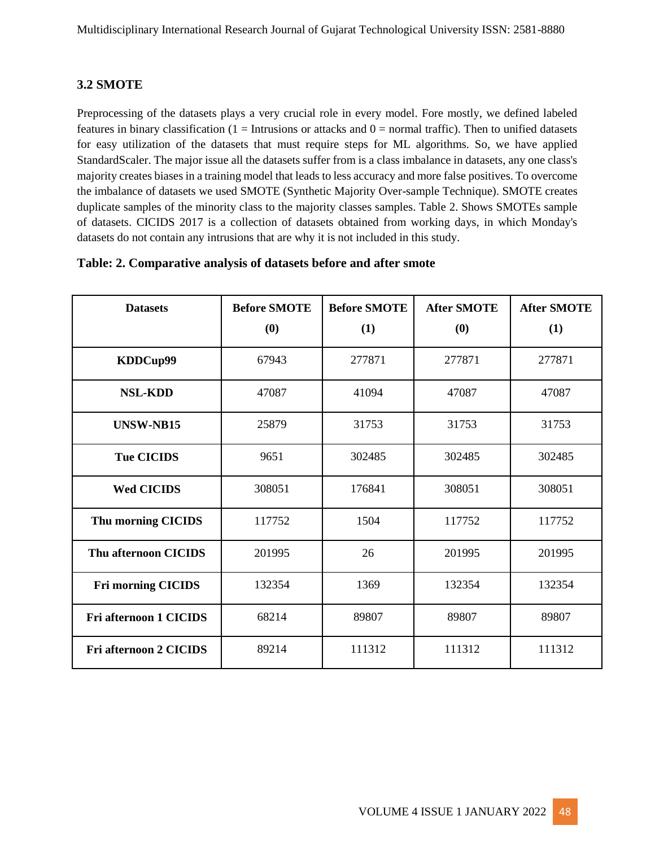# **3.2 SMOTE**

Preprocessing of the datasets plays a very crucial role in every model. Fore mostly, we defined labeled features in binary classification ( $1 = Intusions$  or attacks and  $0 = normal traffic$ ). Then to unified datasets for easy utilization of the datasets that must require steps for ML algorithms. So, we have applied StandardScaler. The major issue all the datasets suffer from is a class imbalance in datasets, any one class's majority creates biases in a training model that leads to less accuracy and more false positives. To overcome the imbalance of datasets we used SMOTE (Synthetic Majority Over-sample Technique). SMOTE creates duplicate samples of the minority class to the majority classes samples. Table 2. Shows SMOTEs sample of datasets. CICIDS 2017 is a collection of datasets obtained from working days, in which Monday's datasets do not contain any intrusions that are why it is not included in this study.

| <b>Datasets</b>               | <b>Before SMOTE</b><br>(0) | <b>Before SMOTE</b><br>(1) | <b>After SMOTE</b><br>(0) | <b>After SMOTE</b><br>(1) |
|-------------------------------|----------------------------|----------------------------|---------------------------|---------------------------|
| KDDCup99                      | 67943                      | 277871                     | 277871                    | 277871                    |
| <b>NSL-KDD</b>                | 47087                      | 41094                      | 47087                     | 47087                     |
| <b>UNSW-NB15</b>              | 25879                      | 31753                      | 31753                     | 31753                     |
| <b>Tue CICIDS</b>             | 9651                       | 302485                     | 302485                    | 302485                    |
| <b>Wed CICIDS</b>             | 308051                     | 176841                     | 308051                    | 308051                    |
| Thu morning CICIDS            | 117752                     | 1504                       | 117752                    | 117752                    |
| Thu afternoon CICIDS          | 201995                     | 26                         | 201995                    | 201995                    |
| <b>Fri morning CICIDS</b>     | 132354                     | 1369                       | 132354                    | 132354                    |
| Fri afternoon 1 CICIDS        | 68214                      | 89807                      | 89807                     | 89807                     |
| <b>Fri afternoon 2 CICIDS</b> | 89214                      | 111312                     | 111312                    | 111312                    |

#### **Table: 2. Comparative analysis of datasets before and after smote**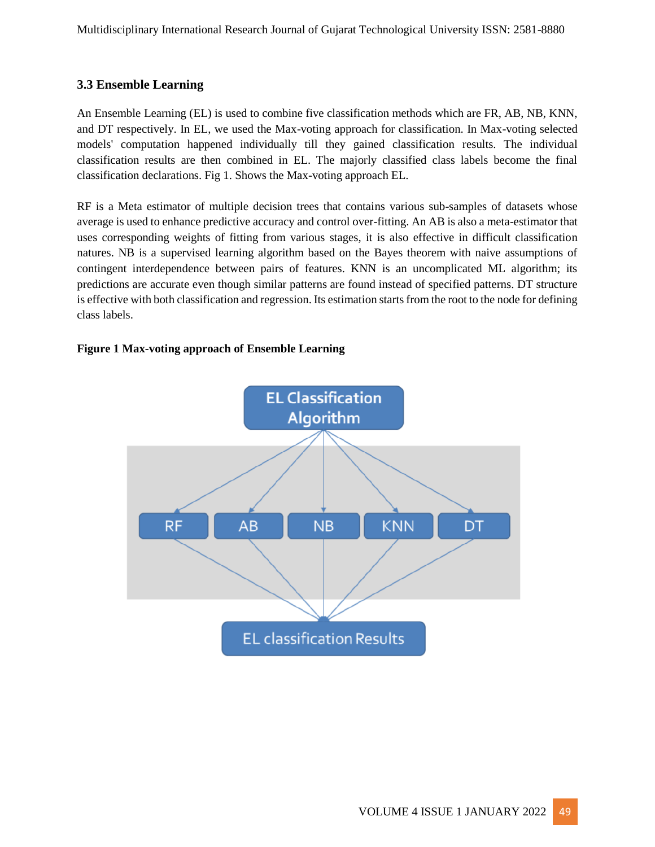# **3.3 Ensemble Learning**

An Ensemble Learning (EL) is used to combine five classification methods which are FR, AB, NB, KNN, and DT respectively. In EL, we used the Max-voting approach for classification. In Max-voting selected models' computation happened individually till they gained classification results. The individual classification results are then combined in EL. The majorly classified class labels become the final classification declarations. Fig 1. Shows the Max-voting approach EL.

RF is a Meta estimator of multiple decision trees that contains various sub-samples of datasets whose average is used to enhance predictive accuracy and control over-fitting. An AB is also a meta-estimator that uses corresponding weights of fitting from various stages, it is also effective in difficult classification natures. NB is a supervised learning algorithm based on the Bayes theorem with naive assumptions of contingent interdependence between pairs of features. KNN is an uncomplicated ML algorithm; its predictions are accurate even though similar patterns are found instead of specified patterns. DT structure is effective with both classification and regression. Its estimation starts from the root to the node for defining class labels.

### **Figure 1 Max-voting approach of Ensemble Learning**

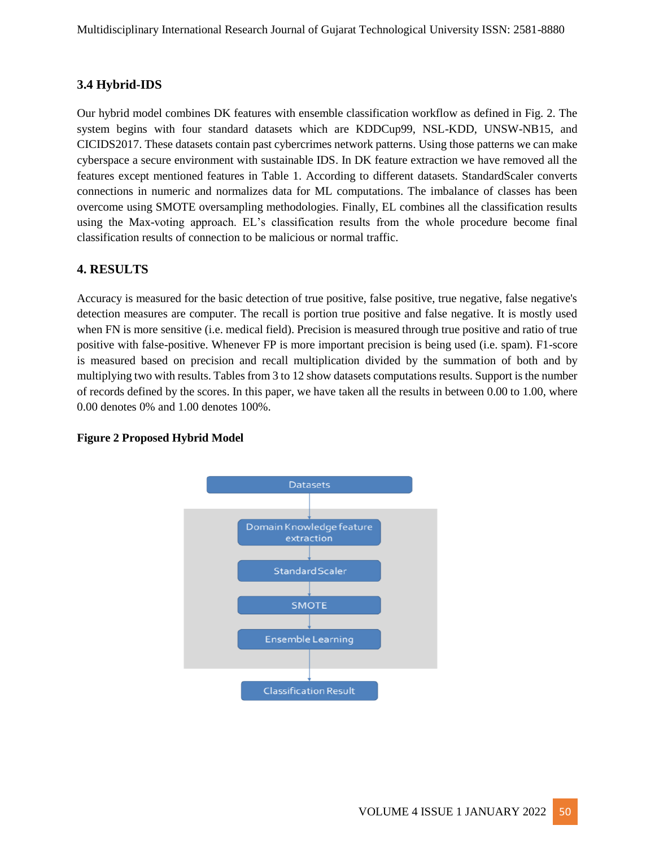# **3.4 Hybrid-IDS**

Our hybrid model combines DK features with ensemble classification workflow as defined in Fig. 2. The system begins with four standard datasets which are KDDCup99, NSL-KDD, UNSW-NB15, and CICIDS2017. These datasets contain past cybercrimes network patterns. Using those patterns we can make cyberspace a secure environment with sustainable IDS. In DK feature extraction we have removed all the features except mentioned features in Table 1. According to different datasets. StandardScaler converts connections in numeric and normalizes data for ML computations. The imbalance of classes has been overcome using SMOTE oversampling methodologies. Finally, EL combines all the classification results using the Max-voting approach. EL's classification results from the whole procedure become final classification results of connection to be malicious or normal traffic.

### **4. RESULTS**

Accuracy is measured for the basic detection of true positive, false positive, true negative, false negative's detection measures are computer. The recall is portion true positive and false negative. It is mostly used when FN is more sensitive (i.e. medical field). Precision is measured through true positive and ratio of true positive with false-positive. Whenever FP is more important precision is being used (i.e. spam). F1-score is measured based on precision and recall multiplication divided by the summation of both and by multiplying two with results. Tables from 3 to 12 show datasets computations results. Support is the number of records defined by the scores. In this paper, we have taken all the results in between 0.00 to 1.00, where 0.00 denotes 0% and 1.00 denotes 100%.



### **Figure 2 Proposed Hybrid Model**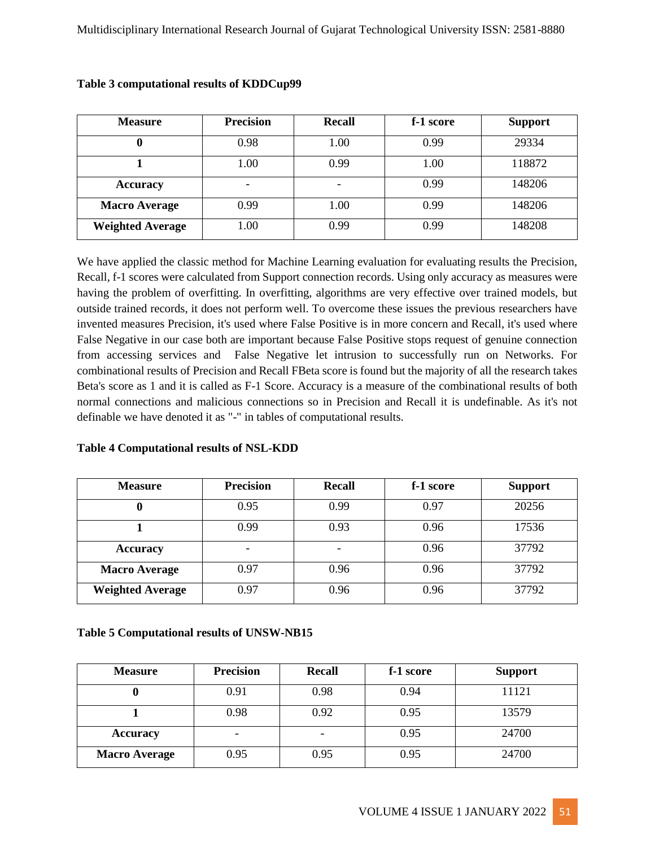| <b>Measure</b>          | <b>Precision</b>         | Recall | f-1 score | <b>Support</b> |
|-------------------------|--------------------------|--------|-----------|----------------|
|                         | 0.98                     | 1.00   | 0.99      | 29334          |
|                         | 1.00                     | 0.99   | 1.00      | 118872         |
| <b>Accuracy</b>         | $\overline{\phantom{a}}$ |        | 0.99      | 148206         |
| <b>Macro Average</b>    | 0.99                     | 1.00   | 0.99      | 148206         |
| <b>Weighted Average</b> | 00.1                     | 0.99   | 0.99      | 148208         |

#### **Table 3 computational results of KDDCup99**

We have applied the classic method for Machine Learning evaluation for evaluating results the Precision, Recall, f-1 scores were calculated from Support connection records. Using only accuracy as measures were having the problem of overfitting. In overfitting, algorithms are very effective over trained models, but outside trained records, it does not perform well. To overcome these issues the previous researchers have invented measures Precision, it's used where False Positive is in more concern and Recall, it's used where False Negative in our case both are important because False Positive stops request of genuine connection from accessing services and False Negative let intrusion to successfully run on Networks. For combinational results of Precision and Recall FBeta score is found but the majority of all the research takes Beta's score as 1 and it is called as F-1 Score. Accuracy is a measure of the combinational results of both normal connections and malicious connections so in Precision and Recall it is undefinable. As it's not definable we have denoted it as "-" in tables of computational results.

#### **Table 4 Computational results of NSL-KDD**

| <b>Measure</b>          | <b>Precision</b> | <b>Recall</b> | f-1 score | <b>Support</b> |
|-------------------------|------------------|---------------|-----------|----------------|
|                         | 0.95             | 0.99          | 0.97      | 20256          |
|                         | 0.99             | 0.93          | 0.96      | 17536          |
| <b>Accuracy</b>         |                  |               | 0.96      | 37792          |
| <b>Macro Average</b>    | 0.97             | 0.96          | 0.96      | 37792          |
| <b>Weighted Average</b> | 0.97             | 0.96          | 0.96      | 37792          |

#### **Table 5 Computational results of UNSW-NB15**

| <b>Measure</b>       | <b>Precision</b> | <b>Recall</b> | f-1 score | <b>Support</b> |
|----------------------|------------------|---------------|-----------|----------------|
|                      | 0.91             | 0.98          | 0.94      | 11121          |
|                      | 0.98             | 0.92          | 0.95      | 13579          |
| <b>Accuracy</b>      |                  |               | 0.95      | 24700          |
| <b>Macro Average</b> | 0.95             | 0.95          | 0.95      | 24700          |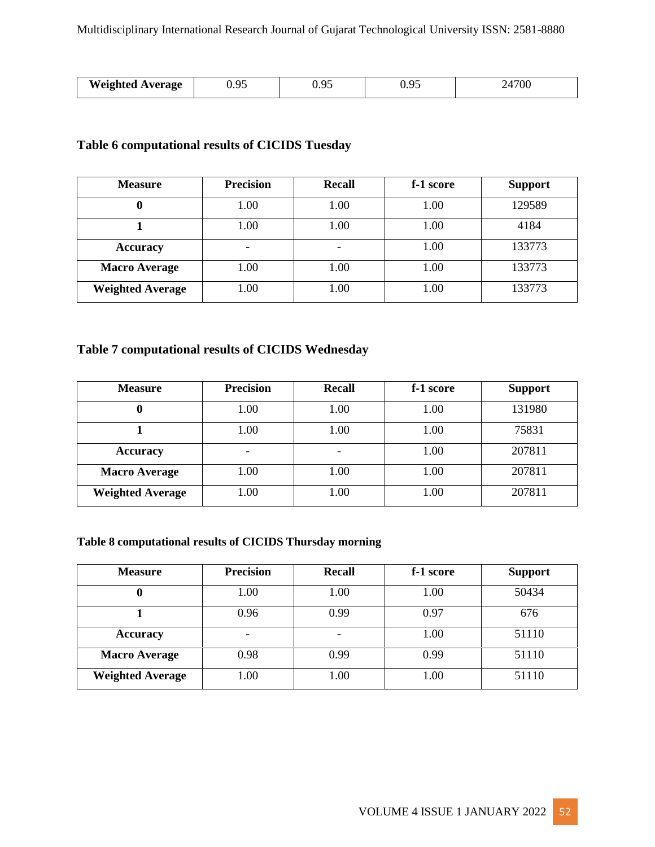|                         | $\mathbf{Q}^{\mathcal{L}}$ | $\alpha$ | $\Omega$ | 500 |
|-------------------------|----------------------------|----------|----------|-----|
| <b>Weighted Average</b> | ບ.∠ພ                       | ບ.∠ພ     |          | v   |

# **Table 6 computational results of CICIDS Tuesday**

| <b>Measure</b>          | <b>Precision</b> | <b>Recall</b> | f-1 score | <b>Support</b> |
|-------------------------|------------------|---------------|-----------|----------------|
|                         | 1.00             | 1.00          | 1.00      | 129589         |
|                         | 1.00             | 1.00          | 1.00      | 4184           |
| <b>Accuracy</b>         |                  |               | 1.00      | 133773         |
| <b>Macro Average</b>    | 1.00             | 1.00          | 1.00      | 133773         |
| <b>Weighted Average</b> | 00.1             | 1.00          | 1.00      | 133773         |

# **Table 7 computational results of CICIDS Wednesday**

| <b>Measure</b>          | <b>Precision</b> | <b>Recall</b> | f-1 score | <b>Support</b> |
|-------------------------|------------------|---------------|-----------|----------------|
|                         | 1.00             | 1.00          | 1.00      | 131980         |
|                         | 1.00             | 1.00          | 1.00      | 75831          |
| <b>Accuracy</b>         |                  |               | 1.00      | 207811         |
| <b>Macro Average</b>    | 0.00             | 1.00          | 1.00      | 207811         |
| <b>Weighted Average</b> | .00              | 1.00          | 1.00      | 207811         |

## **Table 8 computational results of CICIDS Thursday morning**

| <b>Measure</b>          | <b>Precision</b> | <b>Recall</b> | f-1 score | <b>Support</b> |
|-------------------------|------------------|---------------|-----------|----------------|
|                         | 00.1             | 1.00          | 1.00      | 50434          |
|                         | 0.96             | 0.99          | 0.97      | 676            |
| <b>Accuracy</b>         |                  |               | 1.00      | 51110          |
| <b>Macro Average</b>    | 0.98             | 0.99          | 0.99      | 51110          |
| <b>Weighted Average</b> | .00.             | 1.00          | 1.00      | 51110          |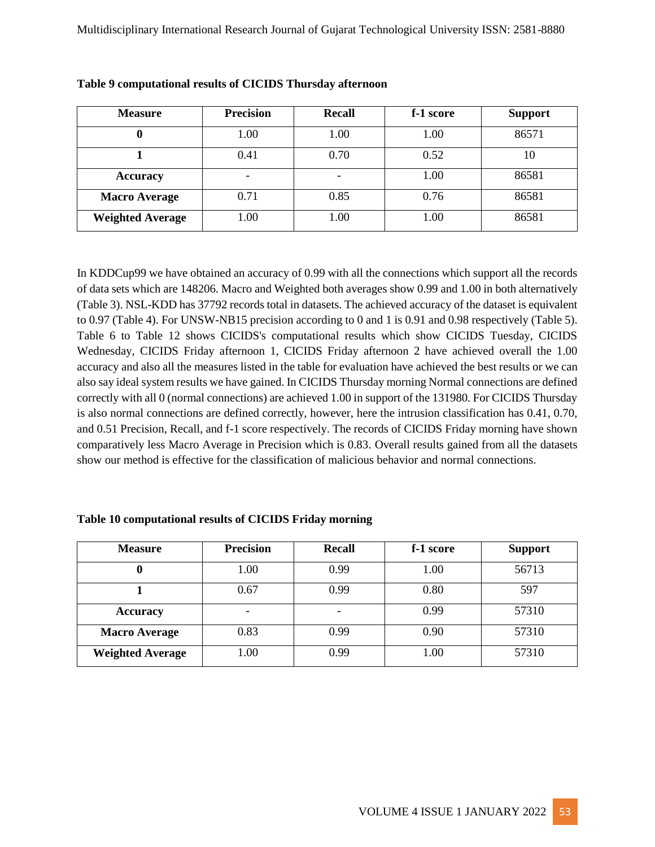| <b>Measure</b>          | <b>Precision</b> | <b>Recall</b> | f-1 score | <b>Support</b> |
|-------------------------|------------------|---------------|-----------|----------------|
|                         | 1.00             | 1.00          | 1.00      | 86571          |
|                         | 0.41             | 0.70          | 0.52      | 10             |
| <b>Accuracy</b>         | ٠                |               | 1.00      | 86581          |
| <b>Macro Average</b>    | 0.71             | 0.85          | 0.76      | 86581          |
| <b>Weighted Average</b> | 00.1             | 1.00          | 1.00      | 86581          |

| Table 9 computational results of CICIDS Thursday afternoon |  |  |
|------------------------------------------------------------|--|--|
|------------------------------------------------------------|--|--|

In KDDCup99 we have obtained an accuracy of 0.99 with all the connections which support all the records of data sets which are 148206. Macro and Weighted both averages show 0.99 and 1.00 in both alternatively (Table 3). NSL-KDD has 37792 records total in datasets. The achieved accuracy of the dataset is equivalent to 0.97 (Table 4). For UNSW-NB15 precision according to 0 and 1 is 0.91 and 0.98 respectively (Table 5). Table 6 to Table 12 shows CICIDS's computational results which show CICIDS Tuesday, CICIDS Wednesday, CICIDS Friday afternoon 1, CICIDS Friday afternoon 2 have achieved overall the 1.00 accuracy and also all the measures listed in the table for evaluation have achieved the best results or we can also say ideal system results we have gained. In CICIDS Thursday morning Normal connections are defined correctly with all 0 (normal connections) are achieved 1.00 in support of the 131980. For CICIDS Thursday is also normal connections are defined correctly, however, here the intrusion classification has 0.41, 0.70, and 0.51 Precision, Recall, and f-1 score respectively. The records of CICIDS Friday morning have shown comparatively less Macro Average in Precision which is 0.83. Overall results gained from all the datasets show our method is effective for the classification of malicious behavior and normal connections.

#### **Table 10 computational results of CICIDS Friday morning**

| <b>Measure</b>          | <b>Precision</b> | <b>Recall</b> | f-1 score | <b>Support</b> |
|-------------------------|------------------|---------------|-----------|----------------|
|                         | 1.00             | 0.99          | 1.00      | 56713          |
|                         | 0.67             | 0.99          | 0.80      | 597            |
| <b>Accuracy</b>         | ۰                |               | 0.99      | 57310          |
| <b>Macro Average</b>    | 0.83             | 0.99          | 0.90      | 57310          |
| <b>Weighted Average</b> | 1.00             | 0.99          | 1.00      | 57310          |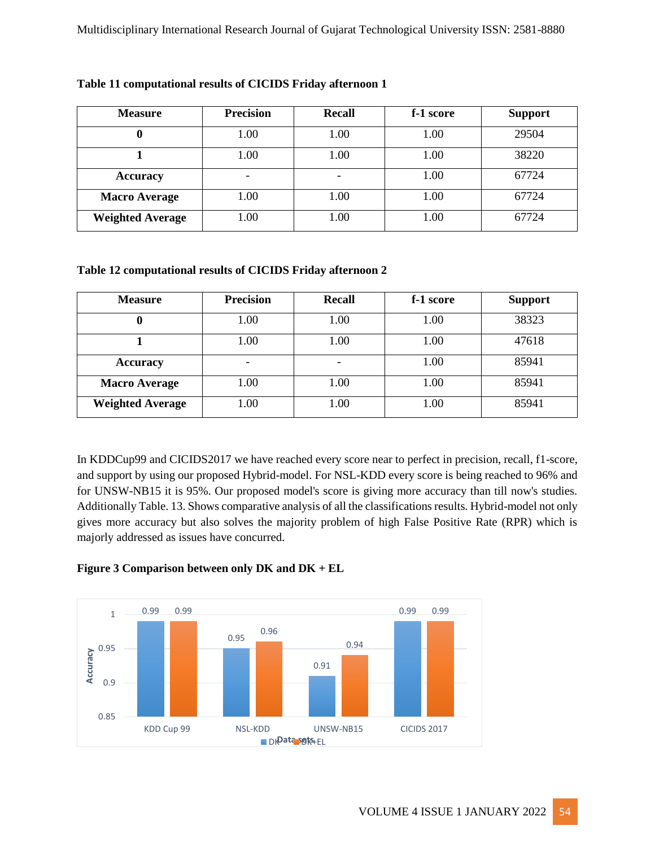| <b>Measure</b>          | <b>Precision</b> | <b>Recall</b> | f-1 score | <b>Support</b> |
|-------------------------|------------------|---------------|-----------|----------------|
|                         | 0.00             | 1.00          | 1.00      | 29504          |
|                         | 0.00             | 1.00          | 1.00      | 38220          |
| <b>Accuracy</b>         | ٠                |               | 1.00      | 67724          |
| <b>Macro Average</b>    | .00              | 1.00          | 1.00      | 67724          |
| <b>Weighted Average</b> | .00              | 1.00          | 1.00      | 67724          |

### **Table 11 computational results of CICIDS Friday afternoon 1**

#### **Table 12 computational results of CICIDS Friday afternoon 2**

| <b>Measure</b>          | <b>Precision</b> | <b>Recall</b> | f-1 score | <b>Support</b> |
|-------------------------|------------------|---------------|-----------|----------------|
|                         | 1.00             | 1.00          | 1.00      | 38323          |
|                         | 1.00             | 1.00          | 1.00      | 47618          |
| <b>Accuracy</b>         |                  |               | 1.00      | 85941          |
| <b>Macro Average</b>    | 00.1             | 1.00          | 1.00      | 85941          |
| <b>Weighted Average</b> | .00              | 1.00          | 1.00      | 85941          |

In KDDCup99 and CICIDS2017 we have reached every score near to perfect in precision, recall, f1-score, and support by using our proposed Hybrid-model. For NSL-KDD every score is being reached to 96% and for UNSW-NB15 it is 95%. Our proposed model's score is giving more accuracy than till now's studies. Additionally Table. 13. Shows comparative analysis of all the classifications results. Hybrid-model not only gives more accuracy but also solves the majority problem of high False Positive Rate (RPR) which is majorly addressed as issues have concurred.

### **Figure 3 Comparison between only DK and DK + EL**

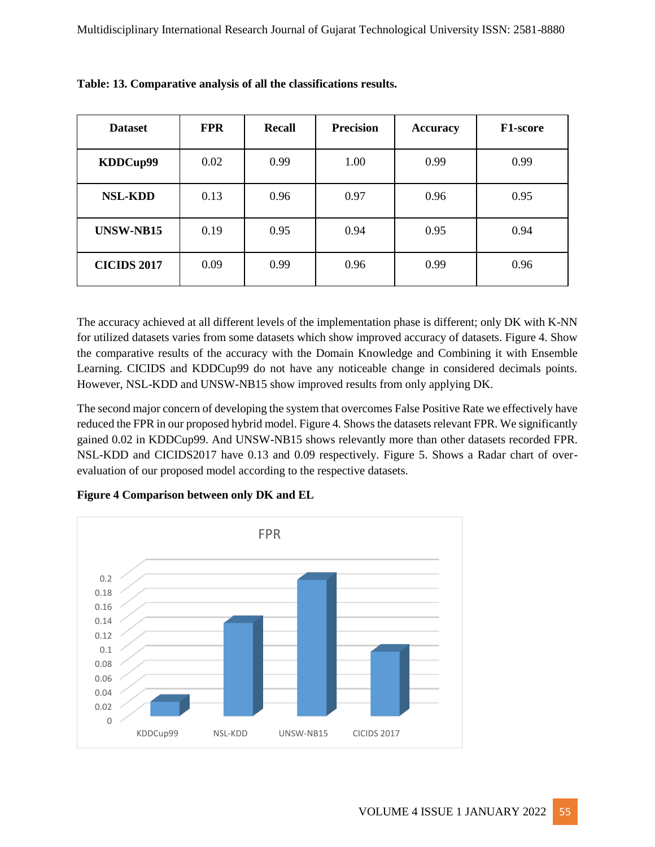| <b>Dataset</b>     | <b>FPR</b> | <b>Recall</b> | <b>Precision</b> | <b>Accuracy</b> | F <sub>1</sub> -score |
|--------------------|------------|---------------|------------------|-----------------|-----------------------|
| KDDCup99           | 0.02       | 0.99          | 1.00             | 0.99            | 0.99                  |
| <b>NSL-KDD</b>     | 0.13       | 0.96          | 0.97             | 0.96            | 0.95                  |
| <b>UNSW-NB15</b>   | 0.19       | 0.95          | 0.94             | 0.95            | 0.94                  |
| <b>CICIDS 2017</b> | 0.09       | 0.99          | 0.96             | 0.99            | 0.96                  |

| Table: 13. Comparative analysis of all the classifications results. |  |
|---------------------------------------------------------------------|--|
|---------------------------------------------------------------------|--|

The accuracy achieved at all different levels of the implementation phase is different; only DK with K-NN for utilized datasets varies from some datasets which show improved accuracy of datasets. Figure 4. Show the comparative results of the accuracy with the Domain Knowledge and Combining it with Ensemble Learning. CICIDS and KDDCup99 do not have any noticeable change in considered decimals points. However, NSL-KDD and UNSW-NB15 show improved results from only applying DK.

The second major concern of developing the system that overcomes False Positive Rate we effectively have reduced the FPR in our proposed hybrid model. Figure 4. Shows the datasets relevant FPR. We significantly gained 0.02 in KDDCup99. And UNSW-NB15 shows relevantly more than other datasets recorded FPR. NSL-KDD and CICIDS2017 have 0.13 and 0.09 respectively. Figure 5. Shows a Radar chart of overevaluation of our proposed model according to the respective datasets.



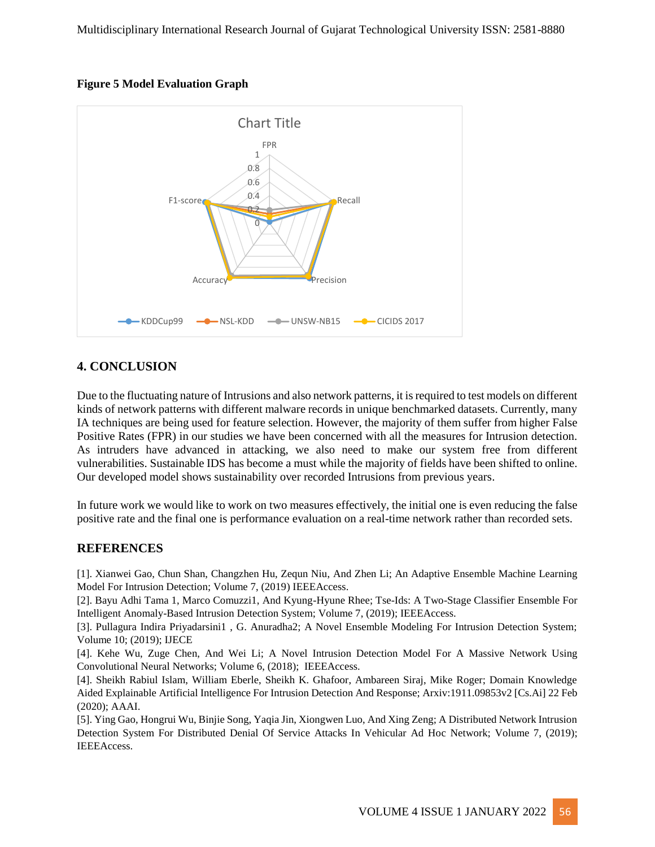



### **4. CONCLUSION**

Due to the fluctuating nature of Intrusions and also network patterns, it is required to test models on different kinds of network patterns with different malware records in unique benchmarked datasets. Currently, many IA techniques are being used for feature selection. However, the majority of them suffer from higher False Positive Rates (FPR) in our studies we have been concerned with all the measures for Intrusion detection. As intruders have advanced in attacking, we also need to make our system free from different vulnerabilities. Sustainable IDS has become a must while the majority of fields have been shifted to online. Our developed model shows sustainability over recorded Intrusions from previous years.

In future work we would like to work on two measures effectively, the initial one is even reducing the false positive rate and the final one is performance evaluation on a real-time network rather than recorded sets.

### **REFERENCES**

[1]. Xianwei Gao, Chun Shan, Changzhen Hu, Zequn Niu, And Zhen Li; An Adaptive Ensemble Machine Learning Model For Intrusion Detection; Volume 7, (2019) IEEEAccess.

[2]. Bayu Adhi Tama 1, Marco Comuzzi1, And Kyung-Hyune Rhee; Tse-Ids: A Two-Stage Classifier Ensemble For Intelligent Anomaly-Based Intrusion Detection System; Volume 7, (2019); IEEEAccess.

[3]. Pullagura Indira Priyadarsini1 , G. Anuradha2; A Novel Ensemble Modeling For Intrusion Detection System; Volume 10; (2019); IJECE

[4]. Kehe Wu, Zuge Chen, And Wei Li; A Novel Intrusion Detection Model For A Massive Network Using Convolutional Neural Networks; Volume 6, (2018); IEEEAccess.

[4]. Sheikh Rabiul Islam, William Eberle, Sheikh K. Ghafoor, Ambareen Siraj, Mike Roger; Domain Knowledge Aided Explainable Artificial Intelligence For Intrusion Detection And Response; Arxiv:1911.09853v2 [Cs.Ai] 22 Feb (2020); AAAI.

[5]. Ying Gao, Hongrui Wu, Binjie Song, Yaqia Jin, Xiongwen Luo, And Xing Zeng; A Distributed Network Intrusion Detection System For Distributed Denial Of Service Attacks In Vehicular Ad Hoc Network; Volume 7, (2019); IEEEAccess.